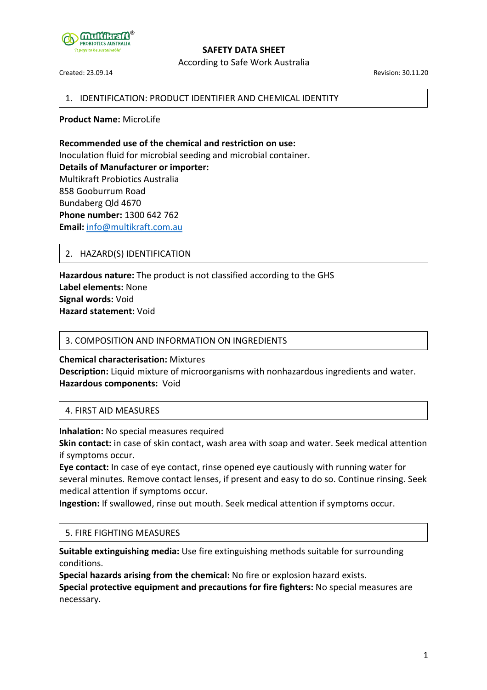

According to Safe Work Australia

Created: 23.09.14 Revision: 30.11.20

## 1. IDENTIFICATION: PRODUCT IDENTIFIER AND CHEMICAL IDENTITY

**Product Name:** MicroLife

**Recommended use of the chemical and restriction on use:** Inoculation fluid for microbial seeding and microbial container. **Details of Manufacturer or importer:** Multikraft Probiotics Australia 858 Gooburrum Road Bundaberg Qld 4670 **Phone number:** 1300 642 762 **Email:** info@multikraft.com.au

# 2. HAZARD(S) IDENTIFICATION

**Hazardous nature:** The product is not classified according to the GHS **Label elements:** None **Signal words:** Void **Hazard statement:** Void

#### 3. COMPOSITION AND INFORMATION ON INGREDIENTS

**Chemical characterisation:** Mixtures **Description:** Liquid mixture of microorganisms with nonhazardous ingredients and water. **Hazardous components:** Void

## 4. FIRST AID MEASURES

**Inhalation:** No special measures required

**Skin contact:** in case of skin contact, wash area with soap and water. Seek medical attention if symptoms occur.

**Eye contact:** In case of eye contact, rinse opened eye cautiously with running water for several minutes. Remove contact lenses, if present and easy to do so. Continue rinsing. Seek medical attention if symptoms occur.

**Ingestion:** If swallowed, rinse out mouth. Seek medical attention if symptoms occur.

# 5. FIRE FIGHTING MEASURES

**Suitable extinguishing media:** Use fire extinguishing methods suitable for surrounding conditions.

**Special hazards arising from the chemical:** No fire or explosion hazard exists.

**Special protective equipment and precautions for fire fighters:** No special measures are necessary.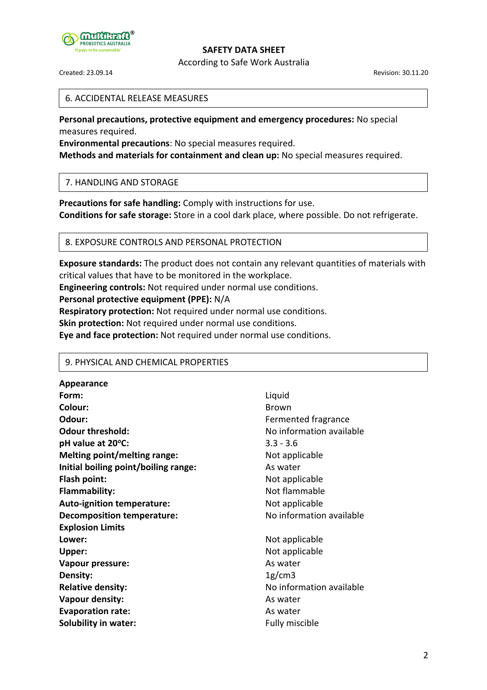

According to Safe Work Australia

Created: 23.09.14 Revision: 30.11.20

#### 6. ACCIDENTAL RELEASE MEASURES

**Personal precautions, protective equipment and emergency procedures:** No special measures required.

**Environmental precautions**: No special measures required.

**Methods and materials for containment and clean up:** No special measures required.

## 7. HANDLING AND STORAGE

**Precautions for safe handling:** Comply with instructions for use. **Conditions for safe storage:** Store in a cool dark place, where possible. Do not refrigerate.

# 8. EXPOSURE CONTROLS AND PERSONAL PROTECTION

**Exposure standards:** The product does not contain any relevant quantities of materials with critical values that have to be monitored in the workplace.

**Engineering controls:** Not required under normal use conditions.

#### **Personal protective equipment (PPE):** N/A

**Respiratory protection:** Not required under normal use conditions.

**Skin protection:** Not required under normal use conditions.

**Eye and face protection:** Not required under normal use conditions.

## 9. PHYSICAL AND CHEMICAL PROPERTIES

**Appearance Form:** Liquid **Colour:** Brown **Odour:** Community Contract Community Contract Fermented fragrance **Odour threshold:** No information available **pH value at 20oC:** 3.3 - 3.6 **Melting point/melting range:** Not applicable **Initial boiling point/boiling range:** As water **Flash point:** Not applicable **Flammability:** Not flammable Auto-ignition temperature: Not applicable **Decomposition temperature:** No information available **Explosion Limits** Lower: Not applicable Upper: Not applicable **Vapour pressure:** As water **Density:** 1g/cm3 **Relative density:** No information available **Vapour density:** As water **Evaporation rate:** As water **Solubility in water:** The state of the state of the state of the state of the state of the state of the state of the state of the state of the state of the state of the state of the state of the state of the state of the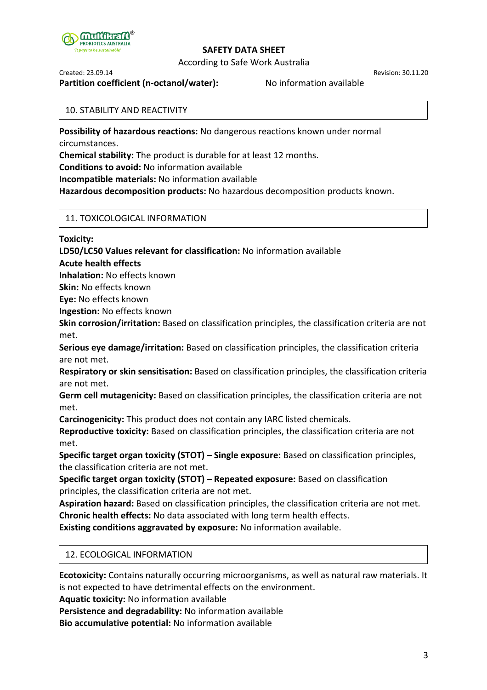

According to Safe Work Australia

Created: 23.09.14 Revision: 30.11.20

**Partition coefficient (n-octanol/water):** No information available

#### 10. STABILITY AND REACTIVITY

**Possibility of hazardous reactions:** No dangerous reactions known under normal circumstances.

**Chemical stability:** The product is durable for at least 12 months.

**Conditions to avoid:** No information available

**Incompatible materials:** No information available

**Hazardous decomposition products:** No hazardous decomposition products known.

# 11. TOXICOLOGICAL INFORMATION

**Toxicity:**

**LD50/LC50 Values relevant for classification:** No information available

**Acute health effects**

**Inhalation:** No effects known

**Skin:** No effects known

**Eye:** No effects known

**Ingestion:** No effects known

**Skin corrosion/irritation:** Based on classification principles, the classification criteria are not met.

**Serious eye damage/irritation:** Based on classification principles, the classification criteria are not met.

**Respiratory or skin sensitisation:** Based on classification principles, the classification criteria are not met.

**Germ cell mutagenicity:** Based on classification principles, the classification criteria are not met.

**Carcinogenicity:** This product does not contain any IARC listed chemicals.

**Reproductive toxicity:** Based on classification principles, the classification criteria are not met.

**Specific target organ toxicity (STOT) – Single exposure:** Based on classification principles, the classification criteria are not met.

**Specific target organ toxicity (STOT) – Repeated exposure:** Based on classification principles, the classification criteria are not met.

**Aspiration hazard:** Based on classification principles, the classification criteria are not met. **Chronic health effects:** No data associated with long term health effects.

**Existing conditions aggravated by exposure:** No information available.

# 12. ECOLOGICAL INFORMATION

**Ecotoxicity:** Contains naturally occurring microorganisms, as well as natural raw materials. It is not expected to have detrimental effects on the environment.

**Aquatic toxicity:** No information available

**Persistence and degradability:** No information available

**Bio accumulative potential:** No information available